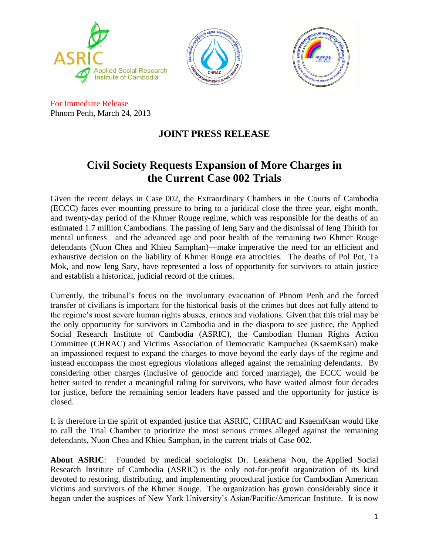





For Immediate Release Phnom Penh, March 24, 2013

## **JOINT PRESS RELEASE**

## **Civil Society Requests Expansion of More Charges in the Current Case 002 Trials**

Given the recent delays in Case 002, the Extraordinary Chambers in the Courts of Cambodia (ECCC) faces ever mounting pressure to bring to a juridical close the three year, eight month, and twenty-day period of the Khmer Rouge regime, which was responsible for the deaths of an estimated 1.7 million Cambodians. The passing of Ieng Sary and the dismissal of Ieng Thirith for mental unfitness—and the advanced age and poor health of the remaining two Khmer Rouge defendants (Nuon Chea and Khieu Samphan)—make imperative the need for an efficient and exhaustive decision on the liability of Khmer Rouge era atrocities. The deaths of Pol Pot, Ta Mok, and now Ieng Sary, have represented a loss of opportunity for survivors to attain justice and establish a historical, judicial record of the crimes.

Currently, the tribunal's focus on the involuntary evacuation of Phnom Penh and the forced transfer of civilians is important for the historical basis of the crimes but does not fully attend to the regime's most severe human rights abuses, crimes and violations. Given that this trial may be the only opportunity for survivors in Cambodia and in the diaspora to see justice, the Applied Social Research Institute of Cambodia (ASRIC), the Cambodian Human Rights Action Committee (CHRAC) and Victims Association of Democratic Kampuchea (KsaemKsan) make an impassioned request to expand the charges to move beyond the early days of the regime and instead encompass the most egregious violations alleged against the remaining defendants. By considering other charges (inclusive of genocide and forced marriage), the ECCC would be better suited to render a meaningful ruling for survivors, who have waited almost four decades for justice, before the remaining senior leaders have passed and the opportunity for justice is closed.

It is therefore in the spirit of expanded justice that ASRIC, CHRAC and KsaemKsan would like to call the Trial Chamber to prioritize the most serious crimes alleged against the remaining defendants, Nuon Chea and Khieu Samphan, in the current trials of Case 002.

**About ASRIC**: Founded by medical sociologist Dr. Leakhena Nou, the Applied Social Research Institute of Cambodia (ASRIC) is the only not-for-profit organization of its kind devoted to restoring, distributing, and implementing procedural justice for Cambodian American victims and survivors of the Khmer Rouge. The organization has grown considerably since it began under the auspices of New York University's Asian/Pacific/American Institute. It is now